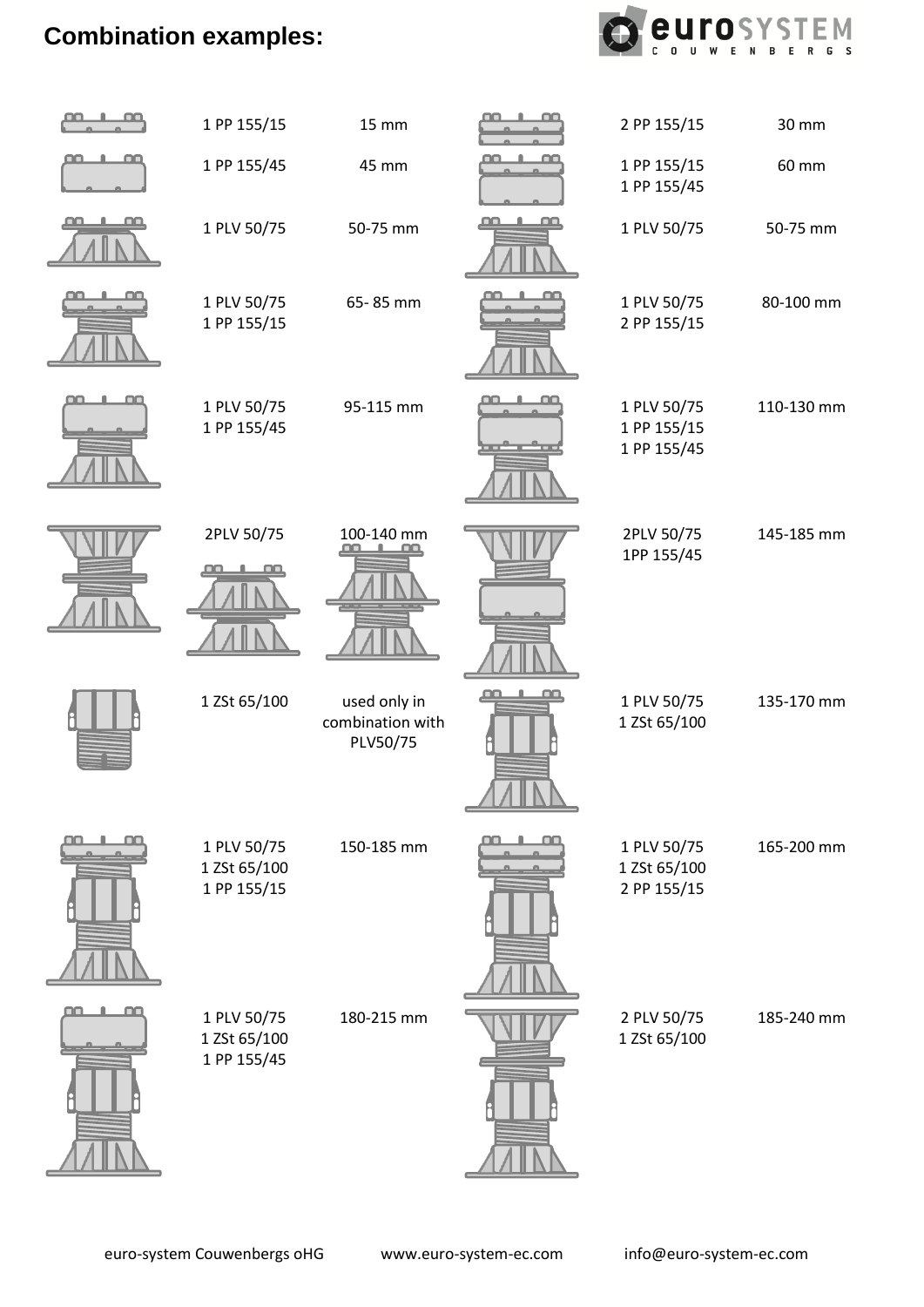## **Combination examples:**



| فقطط | 1 PP 155/15                                | <b>15 mm</b>                                 |   | 2 PP 155/15                                | 30 mm      |
|------|--------------------------------------------|----------------------------------------------|---|--------------------------------------------|------------|
|      | 1 PP 155/45                                | 45 mm                                        |   | 1 PP 155/15                                | 60 mm      |
|      |                                            |                                              |   | 1 PP 155/45                                |            |
|      | 1 PLV 50/75                                | 50-75 mm                                     | Œ | 1 PLV 50/75                                | 50-75 mm   |
|      | 1 PLV 50/75<br>1 PP 155/15                 | 65-85 mm                                     |   | 1 PLV 50/75<br>2 PP 155/15                 | 80-100 mm  |
| œ    | 1 PLV 50/75<br>1 PP 155/45                 | 95-115 mm                                    |   | 1 PLV 50/75<br>1 PP 155/15<br>1 PP 155/45  | 110-130 mm |
|      | 2PLV 50/75                                 | 100-140 mm                                   |   | 2PLV 50/75<br>1PP 155/45                   | 145-185 mm |
|      | 1 ZSt 65/100                               | used only in<br>combination with<br>PLV50/75 |   | 1 PLV 50/75<br>1 ZSt 65/100                | 135-170 mm |
|      | 1 PLV 50/75<br>1 ZSt 65/100<br>1 PP 155/15 | 150-185 mm                                   |   | 1 PLV 50/75<br>1 ZSt 65/100<br>2 PP 155/15 | 165-200 mm |
| œ    | 1 PLV 50/75<br>1 ZSt 65/100<br>1 PP 155/45 | 180-215 mm                                   |   | 2 PLV 50/75<br>1 ZSt 65/100                | 185-240 mm |